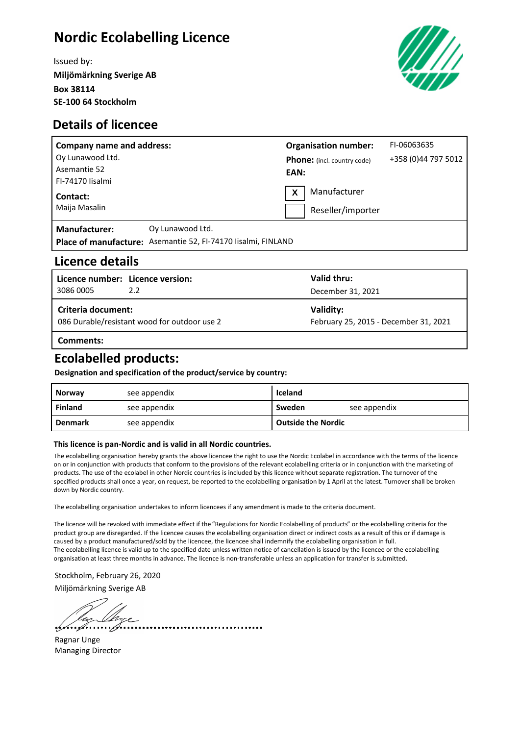## **Nordic Ecolabelling Licence**

Issued by: **Miljömärkning Sverige AB Box 38114 SE-100 64 Stockholm**





| <b>Company name and address:</b> |                                                               | <b>Organisation number:</b> |                                    | FI-06063635         |
|----------------------------------|---------------------------------------------------------------|-----------------------------|------------------------------------|---------------------|
| Oy Lunawood Ltd.                 |                                                               |                             | <b>Phone:</b> (incl. country code) | +358 (0)44 797 5012 |
| Asemantie 52                     |                                                               | EAN:                        |                                    |                     |
| FI-74170 lisalmi                 |                                                               |                             |                                    |                     |
| Contact:                         |                                                               | X                           | Manufacturer                       |                     |
| Maija Masalin                    |                                                               |                             | Reseller/importer                  |                     |
| <b>Manufacturer:</b>             | Oy Lunawood Ltd.                                              |                             |                                    |                     |
|                                  | Place of manufacture: Asemantie 52, FI-74170 Iisalmi, FINLAND |                             |                                    |                     |

#### **Licence details**

| 3086 0005                                                          | Licence number: Licence version:<br>2.2 | Valid thru:<br>December 31, 2021                   |  |
|--------------------------------------------------------------------|-----------------------------------------|----------------------------------------------------|--|
| Criteria document:<br>086 Durable/resistant wood for outdoor use 2 |                                         | Validity:<br>February 25, 2015 - December 31, 2021 |  |
| Comments:                                                          |                                         |                                                    |  |

### **Ecolabelled products:**

**Designation and specification of the product/service by country:**

| <b>Norway</b>  | see appendix | Iceland                   |              |
|----------------|--------------|---------------------------|--------------|
| Finland        | see appendix | Sweden                    | see appendix |
| <b>Denmark</b> | see appendix | <b>Outside the Nordic</b> |              |

#### **This licence is pan-Nordic and is valid in all Nordic countries.**

The ecolabelling organisation hereby grants the above licencee the right to use the Nordic Ecolabel in accordance with the terms of the licence on or in conjunction with products that conform to the provisions of the relevant ecolabelling criteria or in conjunction with the marketing of products. The use of the ecolabel in other Nordic countries is included by this licence without separate registration. The turnover of the specified products shall once a year, on request, be reported to the ecolabelling organisation by 1 April at the latest. Turnover shall be broken down by Nordic country.

The ecolabelling organisation undertakes to inform licencees if any amendment is made to the criteria document.

The licence will be revoked with immediate effect if the "Regulations for Nordic Ecolabelling of products" or the ecolabelling criteria for the product group are disregarded. If the licencee causes the ecolabelling organisation direct or indirect costs as a result of this or if damage is caused by a product manufactured/sold by the licencee, the licencee shall indemnify the ecolabelling organisation in full. The ecolabelling licence is valid up to the specified date unless written notice of cancellation is issued by the licencee or the ecolabelling organisation at least three months in advance. The licence is non-transferable unless an application for transfer is submitted.

Stockholm, February 26, 2020 Miljömärkning Sverige AB

........................

Ragnar Unge Managing Director